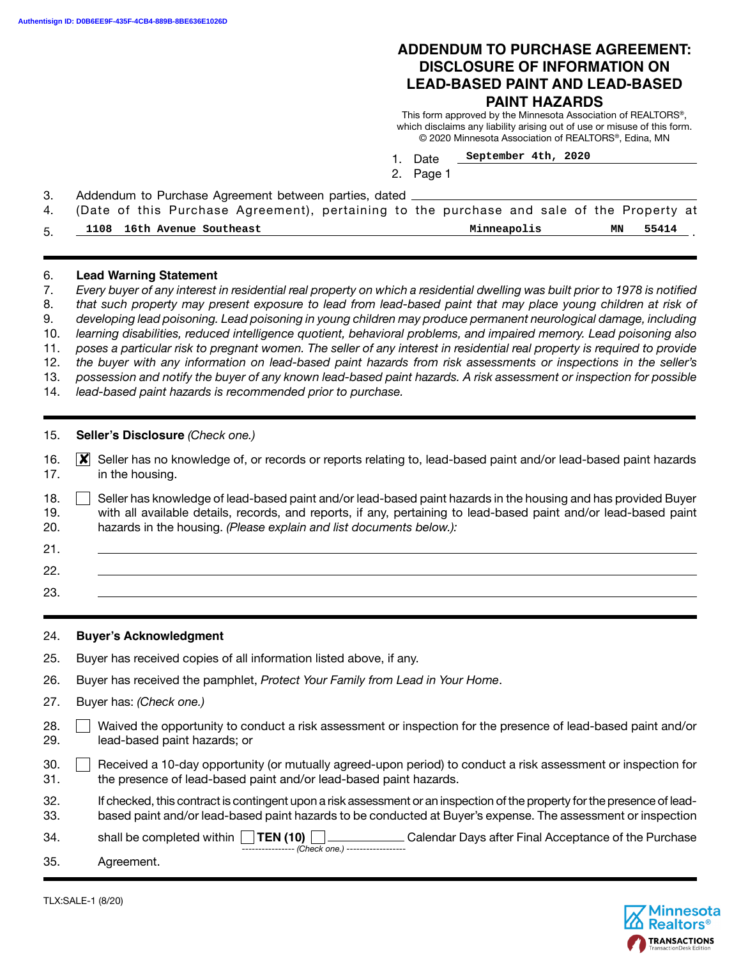## **ADDENDUM TO PURCHASE AGREEMENT: DISCLOSURE OF INFORMATION ON LEAD-BASED PAINT AND LEAD-BASED PAINT HAZARDS**

This form approved by the Minnesota Association of REALTORS®, which disclaims any liability arising out of use or misuse of this form. © 2020 Minnesota Association of REALTORS®, Edina, MN

- 1. Date **September 4th, 2020**
- 2. Page 1

3. Addendum to Purchase Agreement between parties, dated

| 1108 16th Avenue Southeast | 4. (Date of this Purchase Agreement), pertaining to the purchase and sale of the Property at | MN 55414 |  |
|----------------------------|----------------------------------------------------------------------------------------------|----------|--|
|                            | Minneapolis                                                                                  |          |  |

#### 6. **Lead Warning Statement**

- 7. *Every buyer of any interest in residential real property on which a residential dwelling was built prior to 1978 is notified*
- 8. *that such property may present exposure to lead from lead-based paint that may place young children at risk of*
- 9. *developing lead poisoning. Lead poisoning in young children may produce permanent neurological damage, including*
- 10. *learning disabilities, reduced intelligence quotient, behavioral problems, and impaired memory. Lead poisoning also*
- 11. *poses a particular risk to pregnant women. The seller of any interest in residential real property is required to provide*  12. *the buyer with any information on lead-based paint hazards from risk assessments or inspections in the seller's*
- 13. *possession and notify the buyer of any known lead-based paint hazards. A risk assessment or inspection for possible*
- 14. *lead-based paint hazards is recommended prior to purchase.*

15. **Seller's Disclosure** (Check one.)

- 16. **X** Seller has no knowledge of, or records or reports relating to, lead-based paint and/or lead-based paint hazards 17. in the housing.
- 18. Seller has knowledge of lead-based paint and/or lead-based paint hazards in the housing and has provided Buyer 19. with all available details, records, and reports, if any, pertaining to lead-based paint and/or lead-based paint 20. hazards in the housing. *(Please explain and list documents below.):*
- 21. 22.
	- 23.

#### 24. **Buyer's Acknowledgment**

- 25. Buyer has received copies of all information listed above, if any.
- 26. Buyer has received the pamphlet, *Protect Your Family from Lead in Your Home*.
- 27. Buyer has: *(Check one.)*
- 28. Waived the opportunity to conduct a risk assessment or inspection for the presence of lead-based paint and/or 29. lead-based paint hazards; or
- 30. Received a 10-day opportunity (or mutually agreed-upon period) to conduct a risk assessment or inspection for 31. the presence of lead-based paint and/or lead-based paint hazards.
- 32. If checked, this contract is contingent upon a risk assessment or an inspection of the property for the presence of lead-33. based paint and/or lead-based paint hazards to be conducted at Buyer's expense. The assessment or inspection

34. shall be completed within **TEN (10)** Calendar Days after Final Acceptance of the Purchase ---------------- *(Check one.)* ------------------

35. Agreement.